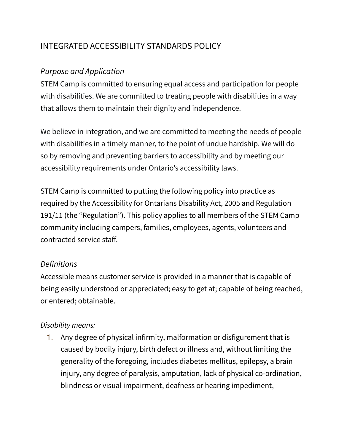# INTEGRATED ACCESSIBILITY STANDARDS POLICY

#### *Purpose and Application*

STEM Camp is committed to ensuring equal access and participation for people with disabilities. We are committed to treating people with disabilities in a way that allows them to maintain their dignity and independence.

We believe in integration, and we are committed to meeting the needs of people with disabilities in a timely manner, to the point of undue hardship. We will do so by removing and preventing barriers to accessibility and by meeting our accessibility requirements under Ontario's accessibility laws.

STEM Camp is committed to putting the following policy into practice as required by the Accessibility for Ontarians Disability Act, 2005 and Regulation 191/11 (the "Regulation"). This policy applies to all members of the STEM Camp community including campers, families, employees, agents, volunteers and contracted service staff.

#### *Definitions*

Accessible means customer service is provided in a manner that is capable of being easily understood or appreciated; easy to get at; capable of being reached, or entered; obtainable.

#### *Disability means:*

1. Any degree of physical infirmity, malformation or disfigurement that is caused by bodily injury, birth defect or illness and, without limiting the generality of the foregoing, includes diabetes mellitus, epilepsy, a brain injury, any degree of paralysis, amputation, lack of physical co-ordination, blindness or visual impairment, deafness or hearing impediment,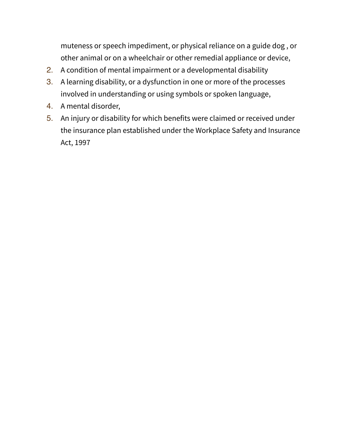muteness or speech impediment, or physical reliance on a guide dog , or other animal or on a wheelchair or other remedial appliance or device,

- 2. A condition of mental impairment or a developmental disability
- 3. A learning disability, or a dysfunction in one or more of the processes involved in understanding or using symbols or spoken language,
- 4. A mental disorder,
- 5. An injury or disability for which benefits were claimed or received under the insurance plan established under the Workplace Safety and Insurance Act, 1997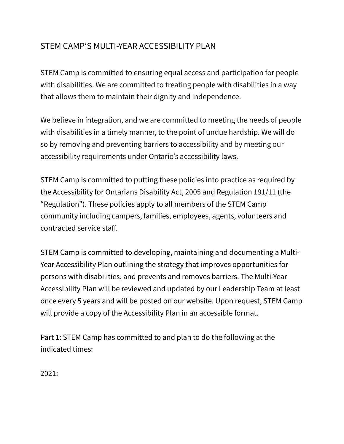# STEM CAMP'S MULTI-YEAR ACCESSIBILITY PLAN

STEM Camp is committed to ensuring equal access and participation for people with disabilities. We are committed to treating people with disabilities in a way that allows them to maintain their dignity and independence.

We believe in integration, and we are committed to meeting the needs of people with disabilities in a timely manner, to the point of undue hardship. We will do so by removing and preventing barriers to accessibility and by meeting our accessibility requirements under Ontario's accessibility laws.

STEM Camp is committed to putting these policies into practice as required by the Accessibility for Ontarians Disability Act, 2005 and Regulation 191/11 (the "Regulation"). These policies apply to all members of the STEM Camp community including campers, families, employees, agents, volunteers and contracted service staff.

STEM Camp is committed to developing, maintaining and documenting a Multi-Year Accessibility Plan outlining the strategy that improves opportunities for persons with disabilities, and prevents and removes barriers. The Multi-Year Accessibility Plan will be reviewed and updated by our Leadership Team at least once every 5 years and will be posted on our website. Upon request, STEM Camp will provide a copy of the Accessibility Plan in an accessible format.

Part 1: STEM Camp has committed to and plan to do the following at the indicated times:

2021: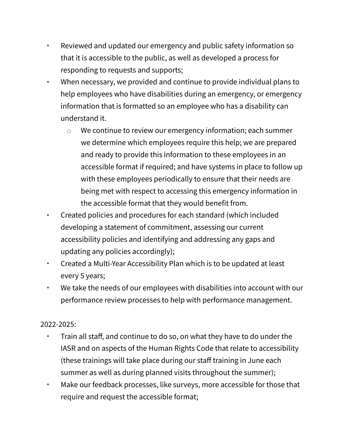- Reviewed and updated our emergency and public safety information so that it is accessible to the public, as well as developed a process for responding to requests and supports;
- When necessary, we provided and continue to provide individual plans to help employees who have disabilities during an emergency, or emergency information that is formatted so an employee who has a disability can understand it.
	- We continue to review our emergency information; each summer we determine which employees require this help; we are prepared and ready to provide this information to these employees in an accessible format if required; and have systems in place to follow up with these employees periodically to ensure that their needs are being met with respect to accessing this emergency information in the accessible format that they would benefit from.
- Created policies and procedures for each standard (which included developing a statement of commitment, assessing our current accessibility policies and identifying and addressing any gaps and updating any policies accordingly);
- Created a Multi-Year Accessibility Plan which is to be updated at least every 5 years;
- We take the needs of our employees with disabilities into account with our performance review processes to help with performance management.

#### 2022-2025:

- Train all staff, and continue to do so, on what they have to do under the IASR and on aspects of the Human Rights Code that relate to accessibility (these trainings will take place during our staff training in June each summer as well as during planned visits throughout the summer);
- Make our feedback processes, like surveys, more accessible for those that require and request the accessible format;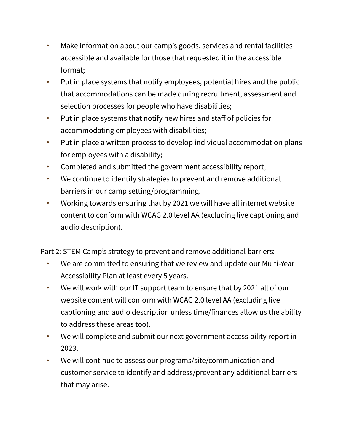- Make information about our camp's goods, services and rental facilities accessible and available for those that requested it in the accessible format;
- Put in place systems that notify employees, potential hires and the public that accommodations can be made during recruitment, assessment and selection processes for people who have disabilities;
- Put in place systems that notify new hires and staff of policies for accommodating employees with disabilities;
- Put in place a written process to develop individual accommodation plans for employees with a disability;
- Completed and submitted the government accessibility report;
- We continue to identify strategies to prevent and remove additional barriers in our camp setting/programming.
- Working towards ensuring that by 2021 we will have all internet website content to conform with WCAG 2.0 level AA (excluding live captioning and audio description).

Part 2: STEM Camp's strategy to prevent and remove additional barriers:

- We are committed to ensuring that we review and update our Multi-Year Accessibility Plan at least every 5 years.
- We will work with our IT support team to ensure that by 2021 all of our website content will conform with WCAG 2.0 level AA (excluding live captioning and audio description unless time/finances allow us the ability to address these areas too).
- We will complete and submit our next government accessibility report in 2023.
- We will continue to assess our programs/site/communication and customer service to identify and address/prevent any additional barriers that may arise.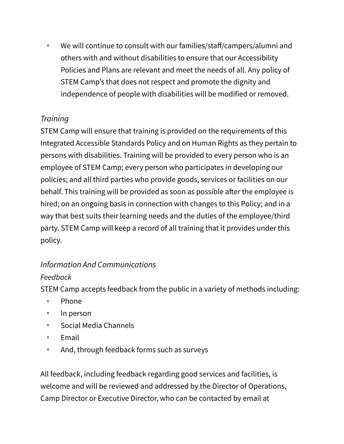• We will continue to consult with our families/staff/campers/alumni and others with and without disabilities to ensure that our Accessibility Policies and Plans are relevant and meet the needs of all. Any policy of STEM Camp's that does not respect and promote the dignity and independence of people with disabilities will be modified or removed.

# *Training*

STEM Camp will ensure that training is provided on the requirements of this Integrated Accessible Standards Policy and on Human Rights as they pertain to persons with disabilities. Training will be provided to every person who is an employee of STEM Camp; every person who participates in developing our policies; and all third parties who provide goods, services or facilities on our behalf. This training will be provided as soon as possible after the employee is hired; on an ongoing basis in connection with changes to this Policy; and in a way that best suits their learning needs and the duties of the employee/third party. STEM Camp will keep a record of all training that it provides under this policy.

# *Information And Communications*

# *Feedback*

STEM Camp accepts feedback from the public in a variety of methods including:

- Phone
- In person
- Social Media Channels
- **Fmail**
- And, through feedback forms such as surveys

All feedback, including feedback regarding good services and facilities, is welcome and will be reviewed and addressed by the Director of Operations, Camp Director or Executive Director, who can be contacted by email at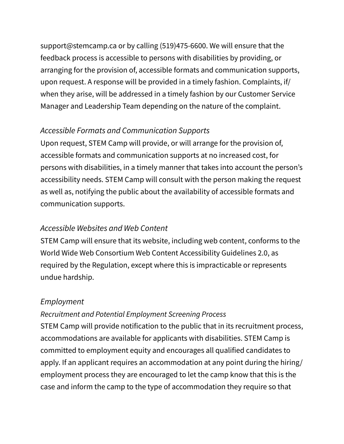support@stemcamp.ca or by calling [\(519\)475-6600.](tel:(519)475-6600) We will ensure that the feedback process is accessible to persons with disabilities by providing, or arranging for the provision of, accessible formats and communication supports, upon request. A response will be provided in a timely fashion. Complaints, if/ when they arise, will be addressed in a timely fashion by our Customer Service Manager and Leadership Team depending on the nature of the complaint.

## *Accessible Formats and Communication Supports*

Upon request, STEM Camp will provide, or will arrange for the provision of, accessible formats and communication supports at no increased cost, for persons with disabilities, in a timely manner that takes into account the person's accessibility needs. STEM Camp will consult with the person making the request as well as, notifying the public about the availability of accessible formats and communication supports.

#### *Accessible Websites and Web Content*

STEM Camp will ensure that its website, including web content, conforms to the World Wide Web Consortium Web Content Accessibility Guidelines 2.0, as required by the Regulation, except where this is impracticable or represents undue hardship.

## *Employment*

#### *Recruitment and Potential Employment Screening Process*

STEM Camp will provide notification to the public that in its recruitment process, accommodations are available for applicants with disabilities. STEM Camp is committed to employment equity and encourages all qualified candidates to apply. If an applicant requires an accommodation at any point during the hiring/ employment process they are encouraged to let the camp know that this is the case and inform the camp to the type of accommodation they require so that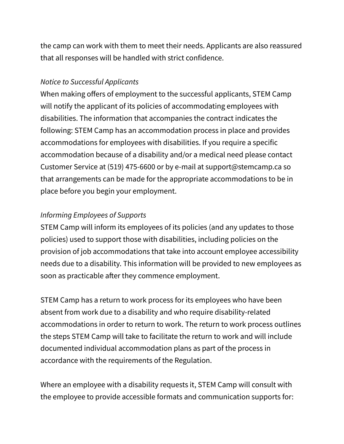the camp can work with them to meet their needs. Applicants are also reassured that all responses will be handled with strict confidence.

#### *Notice to Successful Applicants*

When making offers of employment to the successful applicants, STEM Camp will notify the applicant of its policies of accommodating employees with disabilities. The information that accompanies the contract indicates the following: STEM Camp has an accommodation process in place and provides accommodations for employees with disabilities. If you require a specific accommodation because of a disability and/or a medical need please contact Customer Service at (519) 475-6600 or by e-mail at support@stemcamp.ca so that arrangements can be made for the appropriate accommodations to be in place before you begin your employment.

## *Informing Employees of Supports*

STEM Camp will inform its employees of its policies (and any updates to those policies) used to support those with disabilities, including policies on the provision of job accommodations that take into account employee accessibility needs due to a disability. This information will be provided to new employees as soon as practicable after they commence employment.

STEM Camp has a return to work process for its employees who have been absent from work due to a disability and who require disability-related accommodations in order to return to work. The return to work process outlines the steps STEM Camp will take to facilitate the return to work and will include documented individual accommodation plans as part of the process in accordance with the requirements of the Regulation.

Where an employee with a disability requests it, STEM Camp will consult with the employee to provide accessible formats and communication supports for: